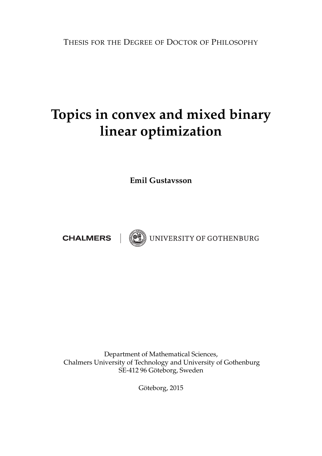THESIS FOR THE DEGREE OF DOCTOR OF PHILOSOPHY

# **Topics in convex and mixed binary linear optimization**

**Emil Gustavsson**

**CHALMERS** 



(O) UNIVERSITY OF GOTHENBURG

Department of Mathematical Sciences, Chalmers University of Technology and University of Gothenburg SE-412 96 Göteborg, Sweden

Göteborg, 2015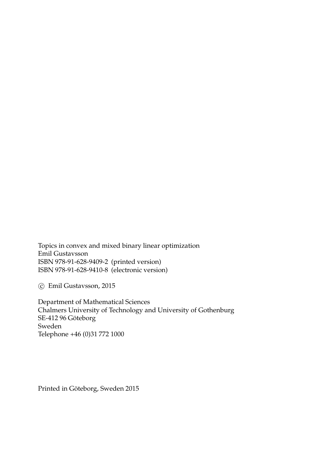Topics in convex and mixed binary linear optimization Emil Gustavsson ISBN 978-91-628-9409-2 (printed version) ISBN 978-91-628-9410-8 (electronic version)

c Emil Gustavsson, 2015

Department of Mathematical Sciences Chalmers University of Technology and University of Gothenburg SE-412 96 Göteborg Sweden Telephone +46 (0)31 772 1000

Printed in Göteborg, Sweden 2015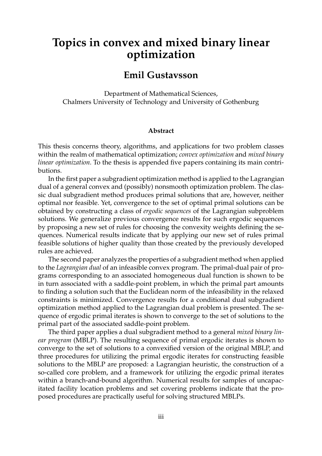## **Topics in convex and mixed binary linear optimization**

### **Emil Gustavsson**

Department of Mathematical Sciences, Chalmers University of Technology and University of Gothenburg

#### **Abstract**

This thesis concerns theory, algorithms, and applications for two problem classes within the realm of mathematical optimization; *convex optimization* and *mixed binary linear optimization*. To the thesis is appended five papers containing its main contributions.

In the first paper a subgradient optimization method is applied to the Lagrangian dual of a general convex and (possibly) nonsmooth optimization problem. The classic dual subgradient method produces primal solutions that are, however, neither optimal nor feasible. Yet, convergence to the set of optimal primal solutions can be obtained by constructing a class of *ergodic sequences* of the Lagrangian subproblem solutions. We generalize previous convergence results for such ergodic sequences by proposing a new set of rules for choosing the convexity weights defining the sequences. Numerical results indicate that by applying our new set of rules primal feasible solutions of higher quality than those created by the previously developed rules are achieved.

The second paper analyzes the properties of a subgradient method when applied to the *Lagrangian dual* of an infeasible convex program. The primal-dual pair of programs corresponding to an associated homogeneous dual function is shown to be in turn associated with a saddle-point problem, in which the primal part amounts to finding a solution such that the Euclidean norm of the infeasibility in the relaxed constraints is minimized. Convergence results for a conditional dual subgradient optimization method applied to the Lagrangian dual problem is presented. The sequence of ergodic primal iterates is shown to converge to the set of solutions to the primal part of the associated saddle-point problem.

The third paper applies a dual subgradient method to a general *mixed binary linear program* (MBLP). The resulting sequence of primal ergodic iterates is shown to converge to the set of solutions to a convexified version of the original MBLP, and three procedures for utilizing the primal ergodic iterates for constructing feasible solutions to the MBLP are proposed: a Lagrangian heuristic, the construction of a so-called core problem, and a framework for utilizing the ergodic primal iterates within a branch-and-bound algorithm. Numerical results for samples of uncapacitated facility location problems and set covering problems indicate that the proposed procedures are practically useful for solving structured MBLPs.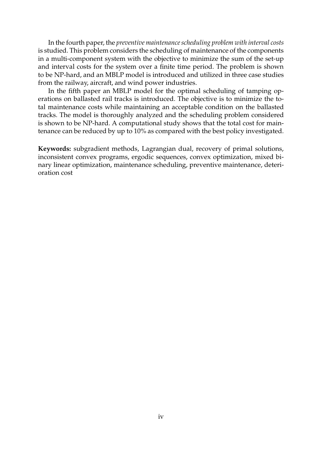In the fourth paper, the *preventive maintenance scheduling problem with interval costs* is studied. This problem considers the scheduling of maintenance of the components in a multi-component system with the objective to minimize the sum of the set-up and interval costs for the system over a finite time period. The problem is shown to be NP-hard, and an MBLP model is introduced and utilized in three case studies from the railway, aircraft, and wind power industries.

In the fifth paper an MBLP model for the optimal scheduling of tamping operations on ballasted rail tracks is introduced. The objective is to minimize the total maintenance costs while maintaining an acceptable condition on the ballasted tracks. The model is thoroughly analyzed and the scheduling problem considered is shown to be NP-hard. A computational study shows that the total cost for maintenance can be reduced by up to 10% as compared with the best policy investigated.

**Keywords:** subgradient methods, Lagrangian dual, recovery of primal solutions, inconsistent convex programs, ergodic sequences, convex optimization, mixed binary linear optimization, maintenance scheduling, preventive maintenance, deterioration cost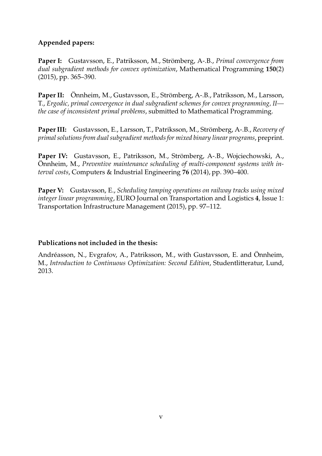### **Appended papers:**

**Paper I:** Gustavsson, E., Patriksson, M., Strömberg, A-.B., *Primal convergence from dual subgradient methods for convex optimization*, Mathematical Programming **150**(2) (2015), pp. 365–390.

**Paper II:** Önnheim, M., Gustavsson, E., Strömberg, A-.B., Patriksson, M., Larsson, T., *Ergodic, primal convergence in dual subgradient schemes for convex programming, II the case of inconsistent primal problems*, submitted to Mathematical Programming.

**Paper III:** Gustavsson, E., Larsson, T., Patriksson, M., Strömberg, A-.B., *Recovery of primal solutions from dual subgradient methods for mixed binary linear programs*, preprint.

Paper IV: Gustavsson, E., Patriksson, M., Strömberg, A-.B., Wojciechowski, A., Önnheim, M., *Preventive maintenance scheduling of multi-component systems with interval costs*, Computers & Industrial Engineering **76** (2014), pp. 390–400.

**Paper V:** Gustavsson, E., *Scheduling tamping operations on railway tracks using mixed integer linear programming*, EURO Journal on Transportation and Logistics **4**, Issue 1: Transportation Infrastructure Management (2015), pp. 97–112.

### **Publications not included in the thesis:**

Andréasson, N., Evgrafov, A., Patriksson, M., with Gustavsson, E. and Önnheim, M., *Introduction to Continuous Optimization: Second Edition*, Studentlitteratur, Lund, 2013.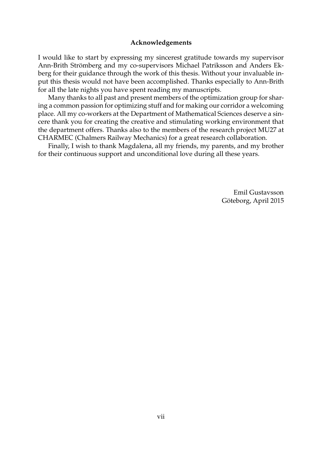#### **Acknowledgements**

I would like to start by expressing my sincerest gratitude towards my supervisor Ann-Brith Strömberg and my co-supervisors Michael Patriksson and Anders Ekberg for their guidance through the work of this thesis. Without your invaluable input this thesis would not have been accomplished. Thanks especially to Ann-Brith for all the late nights you have spent reading my manuscripts.

Many thanks to all past and present members of the optimization group for sharing a common passion for optimizing stuff and for making our corridor a welcoming place. All my co-workers at the Department of Mathematical Sciences deserve a sincere thank you for creating the creative and stimulating working environment that the department offers. Thanks also to the members of the research project MU27 at CHARMEC (Chalmers Railway Mechanics) for a great research collaboration.

Finally, I wish to thank Magdalena, all my friends, my parents, and my brother for their continuous support and unconditional love during all these years.

> Emil Gustavsson Göteborg, April 2015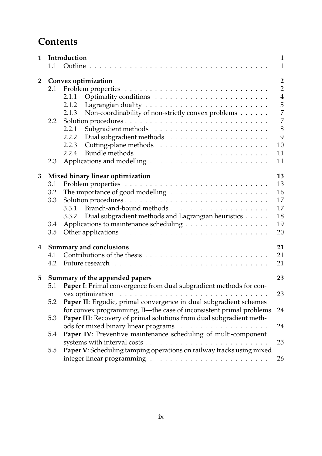## **Contents**

| 1              |                                      | Introduction                                                                                                                             | 1                                                                                                                     |
|----------------|--------------------------------------|------------------------------------------------------------------------------------------------------------------------------------------|-----------------------------------------------------------------------------------------------------------------------|
|                | 1.1                                  | Outline                                                                                                                                  | $\mathbf{1}$                                                                                                          |
| $\overline{2}$ | 2.1<br>2.2                           | Convex optimization<br>2.1.1<br>2.1.2<br>Non-coordinability of non-strictly convex problems<br>2.1.3<br>2.2.1<br>2.2.2<br>2.2.3<br>2.2.4 | $\overline{2}$<br>$\overline{2}$<br>$\overline{4}$<br>5<br>$\overline{7}$<br>$\overline{7}$<br>8<br>9<br>$10\,$<br>11 |
|                | 2.3                                  |                                                                                                                                          | 11                                                                                                                    |
| 3              | 3.1<br>3.2<br>3.3<br>3.4<br>3.5      | Mixed binary linear optimization<br>3.3.1<br>Dual subgradient methods and Lagrangian heuristics<br>3.3.2                                 | 13<br>13<br>16<br>17<br>17<br>18<br>19<br>20                                                                          |
| 4              | 4.1<br>4.2                           | Summary and conclusions                                                                                                                  | 21<br>21<br>21                                                                                                        |
| 5              | 23<br>Summary of the appended papers |                                                                                                                                          |                                                                                                                       |
|                | 5.1<br>5.2                           | Paper I: Primal convergence from dual subgradient methods for con-<br>Paper II: Ergodic, primal convergence in dual subgradient schemes  | 23                                                                                                                    |
|                |                                      | for convex programming, II-the case of inconsistent primal problems                                                                      | 24                                                                                                                    |
|                | 5.3                                  | Paper III: Recovery of primal solutions from dual subgradient meth-                                                                      | 24                                                                                                                    |
|                | 5.4<br>5.5                           | Paper IV: Preventive maintenance scheduling of multi-component<br>Paper V: Scheduling tamping operations on railway tracks using mixed   | 25                                                                                                                    |
|                |                                      |                                                                                                                                          | 26                                                                                                                    |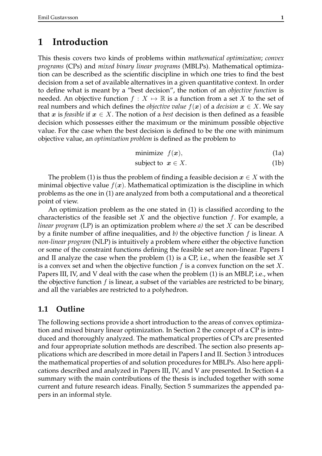### **1 Introduction**

This thesis covers two kinds of problems within *mathematical optimization*; *convex programs* (CPs) and *mixed binary linear programs* (MBLPs). Mathematical optimization can be described as the scientific discipline in which one tries to find the best decision from a set of available alternatives in a given quantitative context. In order to define what is meant by a "best decision", the notion of an *objective function* is needed. An objective function  $f : X \mapsto \mathbb{R}$  is a function from a set X to the set of real numbers and which defines the *objective value*  $f(x)$  of a *decision*  $x \in X$ . We say that x is *feasible* if  $x \in X$ . The notion of a *best* decision is then defined as a feasible decision which possesses either the maximum or the minimum possible objective value. For the case when the best decision is defined to be the one with minimum objective value, an *optimization problem* is defined as the problem to

$$
minimize f(\mathbf{x}), \tag{1a}
$$

$$
subject to x \in X. \tag{1b}
$$

The problem (1) is thus the problem of finding a feasible decision  $x \in X$  with the minimal objective value  $f(x)$ . Mathematical optimization is the discipline in which problems as the one in (1) are analyzed from both a computational and a theoretical point of view.

An optimization problem as the one stated in (1) is classified according to the characteristics of the feasible set X and the objective function  $f$ . For example, a *linear program* (LP) is an optimization problem where *a)* the set X can be described by a finite number of affine inequalities, and *b)* the objective function f is linear. A *non-linear program* (NLP) is intuitively a problem where either the objective function or some of the constraint functions defining the feasible set are non-linear. Papers I and II analyze the case when the problem  $(1)$  is a CP, i.e., when the feasible set X is a convex set and when the objective function  $f$  is a convex function on the set  $X$ . Papers III, IV, and V deal with the case when the problem (1) is an MBLP, i.e., when the objective function  $f$  is linear, a subset of the variables are restricted to be binary, and all the variables are restricted to a polyhedron.

### **1.1 Outline**

The following sections provide a short introduction to the areas of convex optimization and mixed binary linear optimization. In Section 2 the concept of a CP is introduced and thoroughly analyzed. The mathematical properties of CPs are presented and four appropriate solution methods are described. The section also presents applications which are described in more detail in Papers I and II. Section 3 introduces the mathematical properties of and solution procedures for MBLPs. Also here applications described and analyzed in Papers III, IV, and V are presented. In Section 4 a summary with the main contributions of the thesis is included together with some current and future research ideas. Finally, Section 5 summarizes the appended papers in an informal style.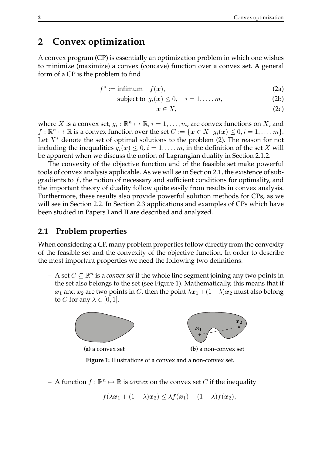### **2 Convex optimization**

A convex program (CP) is essentially an optimization problem in which one wishes to minimize (maximize) a convex (concave) function over a convex set. A general form of a CP is the problem to find

$$
f^* := \text{infimum} \quad f(\mathbf{x}), \tag{2a}
$$

$$
subject to g_i(x) \le 0, \quad i = 1, \dots, m,
$$
\n(2b)

$$
x \in X, \tag{2c}
$$

where X is a convex set,  $g_i : \mathbb{R}^n \mapsto \mathbb{R}$ ,  $i = 1, \ldots, m$ , are convex functions on X, and  $f: \mathbb{R}^n \mapsto \mathbb{R}$  is a convex function over the set  $C := \{ \boldsymbol{x} \in X \, | \, g_i(\boldsymbol{x}) \leq 0, i = 1, \ldots, m \}.$ Let  $X^*$  denote the set of optimal solutions to the problem (2). The reason for not including the inequalities  $q_i(x) \leq 0, i = 1, \ldots, m$ , in the definition of the set X will be apparent when we discuss the notion of Lagrangian duality in Section 2.1.2.

The convexity of the objective function and of the feasible set make powerful tools of convex analysis applicable. As we will se in Section 2.1, the existence of subgradients to  $f$ , the notion of necessary and sufficient conditions for optimality, and the important theory of duality follow quite easily from results in convex analysis. Furthermore, these results also provide powerful solution methods for CPs, as we will see in Section 2.2. In Section 2.3 applications and examples of CPs which have been studied in Papers I and II are described and analyzed.

### **2.1 Problem properties**

When considering a CP, many problem properties follow directly from the convexity of the feasible set and the convexity of the objective function. In order to describe the most important properties we need the following two definitions:

 $-$  A set  $C ⊆ \mathbb{R}^n$  is a *convex set* if the whole line segment joining any two points in the set also belongs to the set (see Figure 1). Mathematically, this means that if  $x_1$  and  $x_2$  are two points in C, then the point  $\lambda x_1 + (1 - \lambda)x_2$  must also belong to C for any  $\lambda \in [0, 1]$ .



**Figure 1:** Illustrations of a convex and a non-convex set.

- A function  $f : \mathbb{R}^n \mapsto \mathbb{R}$  is *convex* on the convex set C if the inequality

$$
f(\lambda x_1 + (1 - \lambda)x_2) \leq \lambda f(x_1) + (1 - \lambda)f(x_2),
$$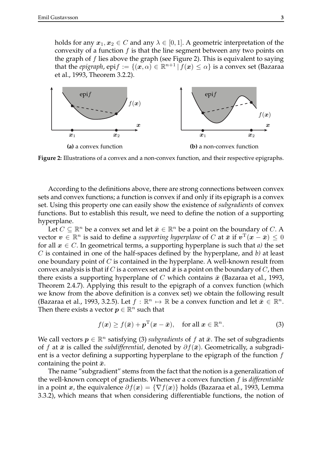holds for any  $x_1, x_2 \in C$  and any  $\lambda \in [0, 1]$ . A geometric interpretation of the convexity of a function  $f$  is that the line segment between any two points on the graph of  $f$  lies above the graph (see Figure 2). This is equivalent to saying that the *epigraph*,  $epif := \{(\vec{x}, \alpha) \in \mathbb{R}^{n+1} \mid f(\vec{x}) \leq \alpha\}$  is a convex set (Bazaraa et al., 1993, Theorem 3.2.2).



**Figure 2:** Illustrations of a convex and a non-convex function, and their respective epigraphs.

According to the definitions above, there are strong connections between convex sets and convex functions; a function is convex if and only if its epigraph is a convex set. Using this property one can easily show the existence of *subgradients* of convex functions. But to establish this result, we need to define the notion of a supporting hyperplane.

Let  $C \subseteq \mathbb{R}^n$  be a convex set and let  $\bar{x} \in \mathbb{R}^n$  be a point on the boundary of  $C$ . A vector  $\bm{v} \in \mathbb{R}^n$  is said to define a *supporting hyperplane* of C at  $\bar{\bm{x}}$  if  $\bm{v}^\text{T}(\bm{x}-\bar{\bm{x}}) \leq 0$ for all  $x \in C$ . In geometrical terms, a supporting hyperplane is such that *a*) the set C is contained in one of the half-spaces defined by the hyperplane, and *b)* at least one boundary point of  $C$  is contained in the hyperplane. A well-known result from convex analysis is that if C is a convex set and  $\bar{x}$  is a point on the boundary of C, then there exists a supporting hyperplane of C which contains  $\bar{x}$  (Bazaraa et al., 1993, Theorem 2.4.7). Applying this result to the epigraph of a convex function (which we know from the above definition is a convex set) we obtain the following result (Bazaraa et al., 1993, 3.2.5). Let  $f : \mathbb{R}^n \to \mathbb{R}$  be a convex function and let  $\overline{x} \in \mathbb{R}^n$ . Then there exists a vector  $p \in \mathbb{R}^n$  such that

$$
f(\boldsymbol{x}) \ge f(\bar{\boldsymbol{x}}) + \boldsymbol{p}^{\mathrm{T}}(\boldsymbol{x} - \bar{\boldsymbol{x}}), \quad \text{for all } \boldsymbol{x} \in \mathbb{R}^n.
$$
 (3)

We call vectors  $p \in \mathbb{R}^n$  satisfying (3) *subgradients* of f at  $\bar{x}$ . The set of subgradients of f at  $\bar{x}$  is called the *subdifferential*, denoted by  $\partial f(\bar{x})$ . Geometrically, a subgradient is a vector defining a supporting hyperplane to the epigraph of the function  $f$ containing the point  $\bar{x}$ .

The name "subgradient" stems from the fact that the notion is a generalization of the well-known concept of gradients. Whenever a convex function f is *differentiable* in a point x, the equivalence  $\partial f(x) = \{\nabla f(x)\}\$ holds (Bazaraa et al., 1993, Lemma 3.3.2), which means that when considering differentiable functions, the notion of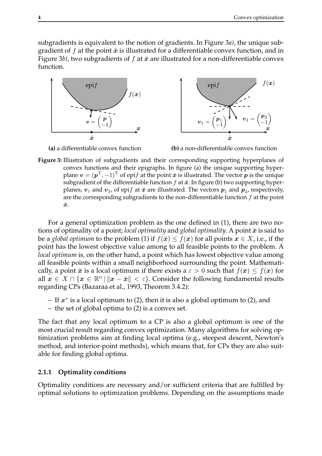subgradients is equivalent to the notion of gradients. In Figure 3*a)*, the unique subgradient of f at the point  $\bar{x}$  is illustrated for a differentiable convex function, and in Figure 3*b*), two subgradients of f at  $\bar{x}$  are illustrated for a non-differentiable convex function.



**(a)** a differentiable convex function **(b)** a non-differentiable convex function

**Figure 3:** Illustration of subgradients and their corresponding supporting hyperplanes of convex functions and their epigraphs. In figure (a) the unique supporting hyperplane  $\mathbf{v} = (\mathbf{p}^T, -1)^T$  of epif at the point  $\bar{\mathbf{x}}$  is illustrated. The vector  $\mathbf{p}$  is the unique subgradient of the differentiable function f at  $\bar{x}$ . In figure (b) two supporting hyperplanes,  $v_1$  and  $v_2$ , of epi $f$  at  $\bar{x}$  are illustrated. The vectors  $p_1$  and  $p_2$ , respectively, are the corresponding subgradients to the non-differentiable function  $f$  at the point  $\bar{x}$ .

For a general optimization problem as the one defined in (1), there are two notions of optimality of a point; *local optimality* and *global optimality*. A point  $\bar{x}$  is said to be a *global optimum* to the problem (1) if  $f(\bar{x}) \leq f(x)$  for all points  $x \in X$ , i.e., if the point has the lowest objective value among to all feasible points to the problem. A *local optimum* is, on the other hand, a point which has lowest objective value among all feasible points within a small neighborhood surrounding the point. Mathematically, a point  $\bar{x}$  is a local optimum if there exists a  $\varepsilon > 0$  such that  $f(\bar{x}) \leq f(x)$  for all  $x \in X \cap \{x \in \mathbb{R}^n \mid \|x - \bar{x}\| < \varepsilon\}$ . Consider the following fundamental results regarding CPs (Bazaraa et al., 1993, Theorem 3.4.2):

- $-$  If  $x^*$  is a local optimum to (2), then it is also a global optimum to (2), and
- the set of global optima to (2) is a convex set.

The fact that any local optimum to a CP is also a global optimum is one of the most crucial result regarding convex optimization. Many algorithms for solving optimization problems aim at finding local optima (e.g., steepest descent, Newton's method, and interior-point methods), which means that, for CPs they are also suitable for finding global optima.

### **2.1.1 Optimality conditions**

Optimality conditions are necessary and/or sufficient criteria that are fulfilled by optimal solutions to optimization problems. Depending on the assumptions made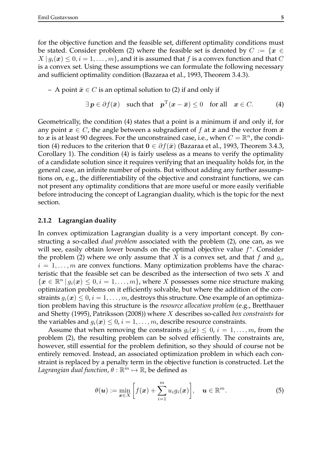for the objective function and the feasible set, different optimality conditions must be stated. Consider problem (2) where the feasible set is denoted by  $C := \{x \in$  $X | g_i(x) \leq 0, i = 1, \ldots, m$ , and it is assumed that f is a convex function and that C is a convex set. Using these assumptions we can formulate the following necessary and sufficient optimality condition (Bazaraa et al., 1993, Theorem 3.4.3).

#### – A point  $\bar{x} \in C$  is an optimal solution to (2) if and only if

$$
\exists p \in \partial f(\bar{x}) \quad \text{such that} \quad p^{\mathrm{T}}(x - \bar{x}) \le 0 \quad \text{for all} \quad x \in C. \tag{4}
$$

Geometrically, the condition (4) states that a point is a minimum if and only if, for any point  $x \in C$ , the angle between a subgradient of f at  $\bar{x}$  and the vector from  $\bar{x}$ to  $x$  is at least 90 degrees. For the unconstrained case, i.e., when  $C = \mathbb{R}^n$ , the condition (4) reduces to the criterion that  $0 \in \partial f(\bar{x})$  (Bazaraa et al., 1993, Theorem 3.4.3, Corollary 1). The condition (4) is fairly useless as a means to verify the optimality of a candidate solution since it requires verifying that an inequality holds for, in the general case, an infinite number of points. But without adding any further assumptions on, e.g., the differentiability of the objective and constraint functions, we can not present any optimality conditions that are more useful or more easily verifiable before introducing the concept of Lagrangian duality, which is the topic for the next section.

#### **2.1.2 Lagrangian duality**

In convex optimization Lagrangian duality is a very important concept. By constructing a so-called *dual problem* associated with the problem (2), one can, as we will see, easily obtain lower bounds on the optimal objective value  $f^*$ . Consider the problem (2) where we only assume that X is a convex set, and that f and  $g_i$ ,  $i = 1, \ldots, m$  are convex functions. Many optimization problems have the characteristic that the feasible set can be described as the intersection of two sets  $X$  and  $\{x \in \mathbb{R}^n \mid g_i(x) \leq 0, i = 1, \ldots, m\}$ , where X possesses some nice structure making optimization problems on it efficiently solvable, but where the addition of the constraints  $g_i(x) \leq 0$ ,  $i = 1, \ldots, m$ , destroys this structure. One example of an optimization problem having this structure is the *resource allocation problem* (e.g., Bretthauer and Shetty (1995), Patriksson (2008)) where X describes so-called *box constraints* for the variables and  $q_i(x) \leq 0$ ,  $i = 1, \ldots, m$ , describe resource constraints.

Assume that when removing the constraints  $g_i(x) \leq 0, i = 1, \ldots, m$ , from the problem (2), the resulting problem can be solved efficiently. The constraints are, however, still essential for the problem definition, so they should of course not be entirely removed. Instead, an associated optimization problem in which each constraint is replaced by a penalty term in the objective function is constructed. Let the Lagrangian dual function,  $\theta: \mathbb{R}^m \mapsto \mathbb{R}$ , be defined as

$$
\theta(\boldsymbol{u}) := \min_{\boldsymbol{x} \in X} \bigg[ f(\boldsymbol{x}) + \sum_{i=1}^m u_i g_i(\boldsymbol{x}) \bigg], \quad \boldsymbol{u} \in \mathbb{R}^m.
$$
 (5)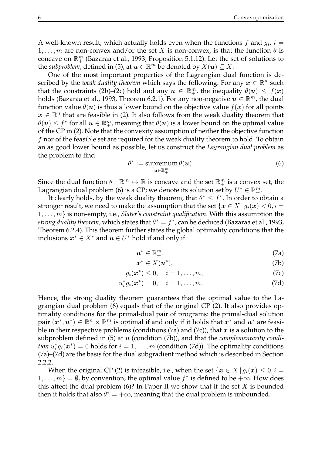A well-known result, which actually holds even when the functions  $f$  and  $g_i$ ,  $i=$ 1, ..., m are non-convex and/or the set X is non-convex, is that the function  $\theta$  is concave on  $\mathbb{R}^m_+$  (Bazaraa et al., 1993, Proposition 5.1.12). Let the set of solutions to the *subproblem*, defined in (5), at  $\boldsymbol{u} \in \mathbb{R}^m$  be denoted by  $X(\boldsymbol{u}) \subseteq X$ .

One of the most important properties of the Lagrangian dual function is described by the *weak duality theorem* which says the following. For any  $x \in \mathbb{R}^n$  such that the constraints (2b)–(2c) hold and any  $u \in \mathbb{R}^m_+$ , the inequality  $\theta(u) \leq f(x)$ holds (Bazaraa et al., 1993, Theorem 6.2.1). For any non-negative  $\pmb{u}\in\mathbb{R}^m$ , the dual function value  $\theta(\mathbf{u})$  is thus a lower bound on the objective value  $f(\mathbf{x})$  for all points  $x \in \mathbb{R}^n$  that are feasible in (2). It also follows from the weak duality theorem that  $\theta(\boldsymbol{u})\leq f^*$  for all  $\boldsymbol{u}\in \mathbb{R}^m_+$ , meaning that  $\theta(\boldsymbol{u})$  is a lower bound on the optimal value of the CP in (2). Note that the convexity assumption of neither the objective function  $f$  nor of the feasible set are required for the weak duality theorem to hold. To obtain an as good lower bound as possible, let us construct the *Lagrangian dual problem* as the problem to find

$$
\theta^* := \operatorname{supremum}_{\boldsymbol{u} \in \mathbb{R}_+^m} \theta(\boldsymbol{u}).\tag{6}
$$

Since the dual function  $\theta : \mathbb{R}^m \mapsto \mathbb{R}$  is concave and the set  $\mathbb{R}^m_+$  is a convex set, the Lagrangian dual problem (6) is a CP; we denote its solution set by  $U^* \in \mathbb{R}^m_+$ .

It clearly holds, by the weak duality theorem, that  $\theta^* \leq f^*$ . In order to obtain a stronger result, we need to make the assumption that the set { $x \in X | g_i(x) < 0, i =$ 1, . . . , m} is non-empty, i.e., *Slater's constraint qualification*. With this assumption the strong duality theorem, which states that  $\theta^* = f^*$ , can be deduced (Bazaraa et al., 1993, Theorem 6.2.4). This theorem further states the global optimality conditions that the inclusions  $x^* \in X^*$  and  $u \in U^*$  hold if and only if

$$
\boldsymbol{u}^* \in \mathbb{R}_+^m, \tag{7a}
$$

$$
x^* \in X(u^*),\tag{7b}
$$

$$
g_i(\boldsymbol{x}^*) \leq 0, \quad i = 1, \dots, m,
$$
 (7c)

$$
u_i^* g_i(\bm{x}^*) = 0, \quad i = 1, \dots, m.
$$
 (7d)

Hence, the strong duality theorem guarantees that the optimal value to the Lagrangian dual problem (6) equals that of the original CP (2). It also provides optimality conditions for the primal-dual pair of programs: the primal-dual solution pair  $(x^*, u^*) \in \mathbb{R}^n \times \mathbb{R}^m$  is optimal if and only if it holds that  $x^*$  and  $u^*$  are feasible in their respective problems (conditions  $(7a)$  and  $(7c)$ ), that x is a solution to the subproblem defined in (5) at u (condition (7b)), and that the *complementarity condition*  $u_i^* g_i(\boldsymbol{x}^*) = 0$  holds for  $i = 1, \ldots, m$  (condition (7d)). The optimality conditions (7a)–(7d) are the basis for the dual subgradient method which is described in Section 2.2.2.

When the original CP (2) is infeasible, i.e., when the set  $\{x \in X \mid g_i(x) \leq 0, i =$  $1, \ldots, m$ } =  $\emptyset$ , by convention, the optimal value  $f^*$  is defined to be  $+\infty$ . How does this affect the dual problem  $(6)$ ? In Paper II we show that if the set X is bounded then it holds that also  $\theta^* = +\infty$ , meaning that the dual problem is unbounded.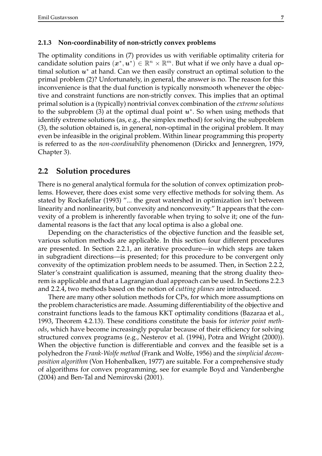#### **2.1.3 Non-coordinability of non-strictly convex problems**

The optimality conditions in (7) provides us with verifiable optimality criteria for candidate solution pairs  $(x^*, u^*)^T \in \mathbb{R}^n \times \mathbb{R}^m$ . But what if we only have a dual optimal solution  $u^*$  at hand. Can we then easily construct an optimal solution to the primal problem (2)? Unfortunately, in general, the answer is no. The reason for this inconvenience is that the dual function is typically nonsmooth whenever the objective and constraint functions are non-strictly convex. This implies that an optimal primal solution is a (typically) nontrivial convex combination of the *extreme solutions* to the subproblem (3) at the optimal dual point  $u^*$ . So when using methods that identify extreme solutions (as, e.g., the simplex method) for solving the subproblem (3), the solution obtained is, in general, non-optimal in the original problem. It may even be infeasible in the original problem. Within linear programming this property is referred to as the *non-coordinability* phenomenon (Dirickx and Jennergren, 1979, Chapter 3).

### **2.2 Solution procedures**

There is no general analytical formula for the solution of convex optimization problems. However, there does exist some very effective methods for solving them. As stated by Rockafellar (1993) "... the great watershed in optimization isn't between linearity and nonlinearity, but convexity and nonconvexity." It appears that the convexity of a problem is inherently favorable when trying to solve it; one of the fundamental reasons is the fact that any local optima is also a global one.

Depending on the characteristics of the objective function and the feasible set, various solution methods are applicable. In this section four different procedures are presented. In Section 2.2.1, an iterative procedure—in which steps are taken in subgradient directions—is presented; for this procedure to be convergent only convexity of the optimization problem needs to be assumed. Then, in Section 2.2.2, Slater's constraint qualification is assumed, meaning that the strong duality theorem is applicable and that a Lagrangian dual approach can be used. In Sections 2.2.3 and 2.2.4, two methods based on the notion of *cutting planes* are introduced.

There are many other solution methods for CPs, for which more assumptions on the problem characteristics are made. Assuming differentiability of the objective and constraint functions leads to the famous KKT optimality conditions (Bazaraa et al., 1993, Theorem 4.2.13). These conditions constitute the basis for *interior point methods*, which have become increasingly popular because of their efficiency for solving structured convex programs (e.g., Nesterov et al. (1994), Potra and Wright (2000)). When the objective function is differentiable and convex and the feasible set is a polyhedron the *Frank-Wolfe method* (Frank and Wolfe, 1956) and the *simplicial decomposition algorithm* (Von Hohenbalken, 1977) are suitable. For a comprehensive study of algorithms for convex programming, see for example Boyd and Vandenberghe (2004) and Ben-Tal and Nemirovski (2001).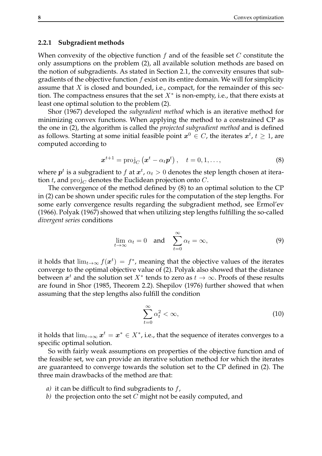#### **2.2.1 Subgradient methods**

When convexity of the objective function  $f$  and of the feasible set  $C$  constitute the only assumptions on the problem (2), all available solution methods are based on the notion of subgradients. As stated in Section 2.1, the convexity ensures that subgradients of the objective function  $f$  exist on its entire domain. We will for simplicity assume that  $X$  is closed and bounded, i.e., compact, for the remainder of this section. The compactness ensures that the set  $X^*$  is non-empty, i.e., that there exists at least one optimal solution to the problem (2).

Shor (1967) developed the *subgradient method* which is an iterative method for minimizing convex functions. When applying the method to a constrained CP as the one in (2), the algorithm is called the *projected subgradient method* and is defined as follows. Starting at some initial feasible point  $x^0 \in C$ , the iterates  $x^t$ ,  $t \geq 1$ , are computed according to

$$
\boldsymbol{x}^{t+1} = \operatorname{proj}_{C}(\boldsymbol{x}^{t} - \alpha_{t}\boldsymbol{p}^{t}), \quad t = 0, 1, ..., \qquad (8)
$$

where  $p^t$  is a subgradient to  $f$  at  $x^t$ ,  $\alpha_t > 0$  denotes the step length chosen at iteration t, and  $proj_C$  denotes the Euclidean projection onto C.

The convergence of the method defined by (8) to an optimal solution to the CP in (2) can be shown under specific rules for the computation of the step lengths. For some early convergence results regarding the subgradient method, see Ermol'ev (1966). Polyak (1967) showed that when utilizing step lengths fulfilling the so-called *divergent series* conditions

$$
\lim_{t \to \infty} \alpha_t = 0 \quad \text{and} \quad \sum_{t=0}^{\infty} \alpha_t = \infty,
$$
\n(9)

it holds that  $\lim_{t\to\infty}f(\boldsymbol{x}^t)\,=\,f^*$ , meaning that the objective values of the iterates converge to the optimal objective value of (2). Polyak also showed that the distance between  $x^t$  and the solution set  $X^*$  tends to zero as  $t\to\infty.$  Proofs of these results are found in Shor (1985, Theorem 2.2). Shepilov (1976) further showed that when assuming that the step lengths also fulfill the condition

$$
\sum_{t=0}^{\infty} \alpha_t^2 < \infty,\tag{10}
$$

it holds that  $\lim_{t\to\infty} \bm{x}^t = \bm{x}^* \in X^*$ , i.e., that the sequence of iterates converges to a specific optimal solution.

So with fairly weak assumptions on properties of the objective function and of the feasible set, we can provide an iterative solution method for which the iterates are guaranteed to converge towards the solution set to the CP defined in (2). The three main drawbacks of the method are that:

- *a*) it can be difficult to find subgradients to f,
- *b)* the projection onto the set C might not be easily computed, and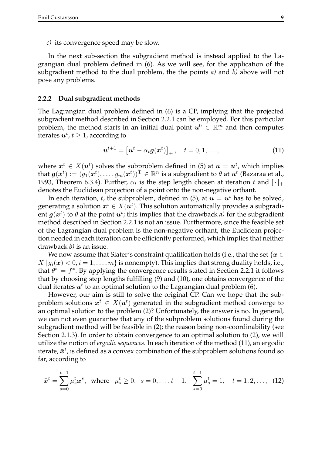*c)* its convergence speed may be slow.

In the next sub-section the subgradient method is instead applied to the Lagrangian dual problem defined in (6). As we will see, for the application of the subgradient method to the dual problem, the the points *a)* and *b)* above will not pose any problems.

#### **2.2.2 Dual subgradient methods**

The Lagrangian dual problem defined in (6) is a CP, implying that the projected subgradient method described in Section 2.2.1 can be employed. For this particular problem, the method starts in an initial dual point  $u^0 \in \mathbb{R}^m_+$  and then computes iterates  $\boldsymbol{u}^t$ ,  $t\geq 1$ , according to

$$
\boldsymbol{u}^{t+1} = \left[\boldsymbol{u}^t - \alpha_t \boldsymbol{g}(\boldsymbol{x}^t)\right]_+, \quad t = 0, 1, \dots,
$$
\n(11)

where  $x^t \in X(u^t)$  solves the subproblem defined in (5) at  $u = u^t$ , which implies that  $\pmb{g}(\pmb{x}^t) := (g_1(\pmb{x}^t), \dots, g_m(\pmb{x}^t))^{\rm \hat{T}} \in \mathbb{R}^n$  is a subgradient to  $\theta$  at  $\pmb{u}^t$  (Bazaraa et al., 1993, Theorem 6.3.4). Further,  $\alpha_t$  is the step length chosen at iteration t and  $[\cdot]_+$ denotes the Euclidean projection of a point onto the non-negative orthant.

In each iteration, t, the subproblem, defined in (5), at  $u = u^t$  has to be solved, generating a solution  $\boldsymbol{x}^t \in X(\boldsymbol{u}^t).$  This solution automatically provides a subgradient  $g(x^t)$  to  $\theta$  at the point  $u^t$ ; this implies that the drawback  $a$ ) for the subgradient method described in Section 2.2.1 is not an issue. Furthermore, since the feasible set of the Lagrangian dual problem is the non-negative orthant, the Euclidean projection needed in each iteration can be efficiently performed, which implies that neither drawback *b)* is an issue.

We now assume that Slater's constraint qualification holds (i.e., that the set  $\{x \in$  $X | g_i(x) < 0, i = 1, \ldots, m$  is nonempty). This implies that strong duality holds, i.e., that  $\theta^* = f^*$ . By applying the convergence results stated in Section 2.2.1 it follows that by choosing step lengths fulfilling (9) and (10), one obtains convergence of the dual iterates  $u<sup>t</sup>$  to an optimal solution to the Lagrangian dual problem (6).

However, our aim is still to solve the original CP. Can we hope that the subproblem solutions  $x^t \in X(u^t)$  generated in the subgradient method converge to an optimal solution to the problem (2)? Unfortunately, the answer is no. In general, we can not even guarantee that any of the subproblem solutions found during the subgradient method will be feasible in (2); the reason being non-coordinability (see Section 2.1.3). In order to obtain convergence to an optimal solution to (2), we will utilize the notion of *ergodic sequences*. In each iteration of the method (11), an ergodic iterate,  $\bar{x}^t$ , is defined as a convex combination of the subproblem solutions found so far, according to

$$
\bar{x}^{t} = \sum_{s=0}^{t-1} \mu_{s}^{t} x^{s}, \text{ where } \mu_{s}^{t} \ge 0, \ s = 0, \ldots, t-1, \sum_{s=0}^{t-1} \mu_{s}^{t} = 1, \ t = 1, 2, \ldots, (12)
$$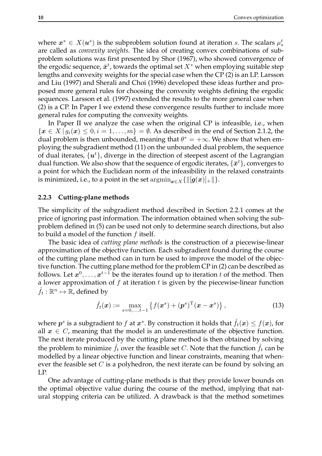where  $\bm{x}^s \in X(\bm{u}^s)$  is the subproblem solution found at iteration s. The scalars  $\mu_s^t$ are called as *convexity weights*. The idea of creating convex combinations of subproblem solutions was first presented by Shor (1967), who showed convergence of the ergodic sequence,  $\bar{x}^t$ , towards the optimal set  $X^*$  when employing suitable step lengths and convexity weights for the special case when the CP (2) is an LP. Larsson and Liu (1997) and Sherali and Choi (1996) developed these ideas further and proposed more general rules for choosing the convexity weights defining the ergodic sequences. Larsson et al. (1997) extended the results to the more general case when (2) is a CP. In Paper I we extend these convergence results further to include more general rules for computing the convexity weights.

In Paper II we analyze the case when the original CP is infeasible, i.e., when  ${x \in X | q_i(x) \leq 0, i = 1, \ldots, m} = \emptyset$ . As described in the end of Section 2.1.2, the dual problem is then unbounded, meaning that  $\theta^* = +\infty$ . We show that when employing the subgradient method (11) on the unbounded dual problem, the sequence of dual iterates,  $\{u^t\}$ , diverge in the direction of steepest ascent of the Lagrangian dual function. We also show that the sequence of ergodic iterates,  $\{\bar{x}^t\}$ , converges to a point for which the Euclidean norm of the infeasibility in the relaxed constraints is minimized, i.e., to a point in the set  $\arg\min_{x \in X} {\{\|[\boldsymbol{g}(x)]_+\| \}}$ .

#### **2.2.3 Cutting-plane methods**

The simplicity of the subgradient method described in Section 2.2.1 comes at the price of ignoring past information. The information obtained when solving the subproblem defined in (5) can be used not only to determine search directions, but also to build a model of the function  $f$  itself.

The basic idea of *cutting plane methods* is the construction of a piecewise-linear approximation of the objective function. Each subgradient found during the course of the cutting plane method can in turn be used to improve the model of the objective function. The cutting plane method for the problem CP in (2) can be described as follows. Let  $x^0, \ldots, x^{t-1}$  be the iterates found up to iteration t of the method. Then a lower approximation of  $f$  at iteration  $t$  is given by the piecewise-linear function  $\hat{f}_t : \mathbb{R}^n \mapsto \mathbb{R}$ , defined by

$$
\hat{f}_t(\boldsymbol{x}) := \max_{s=0,\ldots,t-1} \left\{ f(\boldsymbol{x}^s) + (\boldsymbol{p}^s)^{\mathrm{T}} (\boldsymbol{x} - \boldsymbol{x}^s) \right\},\tag{13}
$$

where  $\bm{p}^s$  is a subgradient to  $f$  at  $\bm{x}^s.$  By construction it holds that  $\hat{f}_t(\bm{x}) \leq f(\bm{x})$ , for all  $x \in C$ , meaning that the model is an underestimate of the objective function. The next iterate produced by the cutting plane method is then obtained by solving the problem to minimize  $f_t$  over the feasible set C. Note that the function  $f_t$  can be modelled by a linear objective function and linear constraints, meaning that whenever the feasible set  $C$  is a polyhedron, the next iterate can be found by solving an LP.

One advantage of cutting-plane methods is that they provide lower bounds on the optimal objective value during the course of the method, implying that natural stopping criteria can be utilized. A drawback is that the method sometimes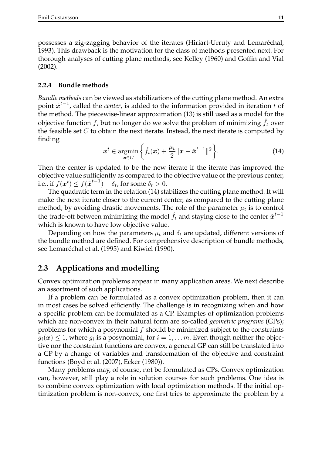possesses a zig-zagging behavior of the iterates (Hiriart-Urruty and Lemaréchal, 1993). This drawback is the motivation for the class of methods presented next. For thorough analyses of cutting plane methods, see Kelley (1960) and Goffin and Vial (2002).

#### **2.2.4 Bundle methods**

*Bundle methods* can be viewed as stabilizations of the cutting plane method. An extra point  $\hat{x}^{t-1}$ , called the *center*, is added to the information provided in iteration t of the method. The piecewise-linear approximation (13) is still used as a model for the objective function f, but no longer do we solve the problem of minimizing  $f_t$  over the feasible set  $C$  to obtain the next iterate. Instead, the next iterate is computed by finding

$$
\boldsymbol{x}^{t} \in \operatorname*{argmin}_{\boldsymbol{x} \in C} \left\{ \hat{f}_{t}(\boldsymbol{x}) + \frac{\mu_{t}}{2} \|\boldsymbol{x} - \hat{\boldsymbol{x}}^{t-1}\|^{2} \right\}.
$$
 (14)

Then the center is updated to be the new iterate if the iterate has improved the objective value sufficiently as compared to the objective value of the previous center, i.e., if  $f(\boldsymbol{x}^{t}) \leq f(\hat{\boldsymbol{x}}^{t-1}) - \delta_{t}$ , for some  $\delta_{t} > 0$ .

The quadratic term in the relation (14) stabilizes the cutting plane method. It will make the next iterate closer to the current center, as compared to the cutting plane method, by avoiding drastic movements. The role of the parameter  $\mu_t$  is to control the trade-off between minimizing the model  $\hat{f}_t$  and staying close to the center  $\hat{\boldsymbol{x}}^{t-1}$ which is known to have low objective value.

Depending on how the parameters  $\mu_t$  and  $\delta_t$  are updated, different versions of the bundle method are defined. For comprehensive description of bundle methods, see Lemaréchal et al. (1995) and Kiwiel (1990).

### **2.3 Applications and modelling**

Convex optimization problems appear in many application areas. We next describe an assortment of such applications.

If a problem can be formulated as a convex optimization problem, then it can in most cases be solved efficiently. The challenge is in recognizing when and how a specific problem can be formulated as a CP. Examples of optimization problems which are non-convex in their natural form are so-called *geometric programs* (GPs); problems for which a posynomial  $f$  should be minimized subject to the constraints  $g_i(\boldsymbol{x}) \leq 1$ , where  $g_i$  is a posynomial, for  $i = 1, \ldots m$ . Even though neither the objective nor the constraint functions are convex, a general GP can still be translated into a CP by a change of variables and transformation of the objective and constraint functions (Boyd et al. (2007), Ecker (1980)).

Many problems may, of course, not be formulated as CPs. Convex optimization can, however, still play a role in solution courses for such problems. One idea is to combine convex optimization with local optimization methods. If the initial optimization problem is non-convex, one first tries to approximate the problem by a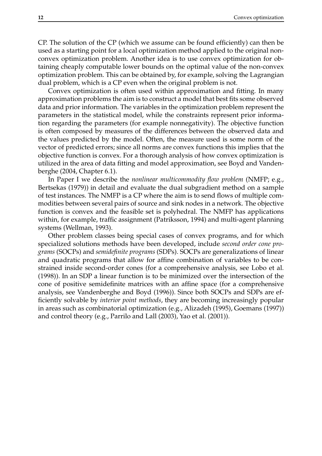CP. The solution of the CP (which we assume can be found efficiently) can then be used as a starting point for a local optimization method applied to the original nonconvex optimization problem. Another idea is to use convex optimization for obtaining cheaply computable lower bounds on the optimal value of the non-convex optimization problem. This can be obtained by, for example, solving the Lagrangian dual problem, which is a CP even when the original problem is not.

Convex optimization is often used within approximation and fitting. In many approximation problems the aim is to construct a model that best fits some observed data and prior information. The variables in the optimization problem represent the parameters in the statistical model, while the constraints represent prior information regarding the parameters (for example nonnegativity). The objective function is often composed by measures of the differences between the observed data and the values predicted by the model. Often, the measure used is some norm of the vector of predicted errors; since all norms are convex functions this implies that the objective function is convex. For a thorough analysis of how convex optimization is utilized in the area of data fitting and model approximation, see Boyd and Vandenberghe (2004, Chapter 6.1).

In Paper I we describe the *nonlinear multicommodity flow problem* (NMFP; e.g., Bertsekas (1979)) in detail and evaluate the dual subgradient method on a sample of test instances. The NMFP is a CP where the aim is to send flows of multiple commodities between several pairs of source and sink nodes in a network. The objective function is convex and the feasible set is polyhedral. The NMFP has applications within, for example, traffic assignment (Patriksson, 1994) and multi-agent planning systems (Wellman, 1993).

Other problem classes being special cases of convex programs, and for which specialized solutions methods have been developed, include *second order cone programs* (SOCPs) and *semidefinite programs* (SDPs). SOCPs are generalizations of linear and quadratic programs that allow for affine combination of variables to be constrained inside second-order cones (for a comprehensive analysis, see Lobo et al. (1998)). In an SDP a linear function is to be minimized over the intersection of the cone of positive semidefinite matrices with an affine space (for a comprehensive analysis, see Vandenberghe and Boyd (1996)). Since both SOCPs and SDPs are efficiently solvable by *interior point methods*, they are becoming increasingly popular in areas such as combinatorial optimization (e.g., Alizadeh (1995), Goemans (1997)) and control theory (e.g., Parrilo and Lall (2003), Yao et al. (2001)).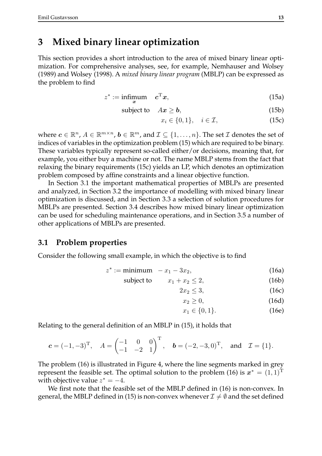### **3 Mixed binary linear optimization**

This section provides a short introduction to the area of mixed binary linear optimization. For comprehensive analyses, see, for example, Nemhauser and Wolsey (1989) and Wolsey (1998). A *mixed binary linear program* (MBLP) can be expressed as the problem to find

$$
z^* := \underset{x}{\text{infimum}} \quad c^{\text{T}} x,\tag{15a}
$$

subject to  $Ax \ge b$ , (15b)

$$
x_i \in \{0, 1\}, \quad i \in \mathcal{I}, \tag{15c}
$$

where  $\boldsymbol{c} \in \mathbb{R}^n$ ,  $A \in \mathbb{R}^{m \times n}$ ,  $\boldsymbol{b} \in \mathbb{R}^m$ , and  $\mathcal{I} \subseteq \{1, \ldots, n\}$ . The set  $\mathcal{I}$  denotes the set of indices of variables in the optimization problem (15) which are required to be binary. These variables typically represent so-called either/or decisions, meaning that, for example, you either buy a machine or not. The name MBLP stems from the fact that relaxing the binary requirements (15c) yields an LP, which denotes an optimization problem composed by affine constraints and a linear objective function.

In Section 3.1 the important mathematical properties of MBLPs are presented and analyzed, in Section 3.2 the importance of modelling with mixed binary linear optimization is discussed, and in Section 3.3 a selection of solution procedures for MBLPs are presented. Section 3.4 describes how mixed binary linear optimization can be used for scheduling maintenance operations, and in Section 3.5 a number of other applications of MBLPs are presented.

#### **3.1 Problem properties**

Consider the following small example, in which the objective is to find

$$
z^* := \text{minimum} \quad -x_1 - 3x_2,\tag{16a}
$$

$$
subject to \t x_1 + x_2 \le 2, \t (16b)
$$

 $2x_2 \leq 3,$  (16c)

$$
x_2 \ge 0,\tag{16d}
$$

 $x_1 \in \{0, 1\}.$  (16e)

Relating to the general definition of an MBLP in (15), it holds that

$$
c = (-1, -3)^T
$$
,  $A = \begin{pmatrix} -1 & 0 & 0 \\ -1 & -2 & 1 \end{pmatrix}^T$ ,  $b = (-2, -3, 0)^T$ , and  $\mathcal{I} = \{1\}$ .

The problem (16) is illustrated in Figure 4, where the line segments marked in grey represent the feasible set. The optimal solution to the problem (16) is  $x^* = (1,1)^T$ with objective value  $z^* = -4$ .

We first note that the feasible set of the MBLP defined in (16) is non-convex. In general, the MBLP defined in (15) is non-convex whenever  $\mathcal{I} \neq \emptyset$  and the set defined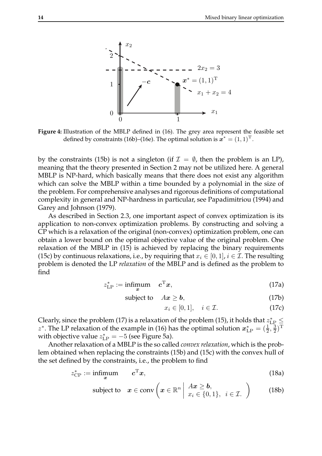

**Figure 4:** Illustration of the MBLP defined in (16). The grey area represent the feasible set defined by constraints (16b)–(16e). The optimal solution is  $\mathbf{z}^* = (1,1)^T$ .

by the constraints (15b) is not a singleton (if  $\mathcal{I} = \emptyset$ , then the problem is an LP), meaning that the theory presented in Section 2 may not be utilized here. A general MBLP is NP-hard, which basically means that there does not exist any algorithm which can solve the MBLP within a time bounded by a polynomial in the size of the problem. For comprehensive analyses and rigorous definitions of computational complexity in general and NP-hardness in particular, see Papadimitriou (1994) and Garey and Johnson (1979).

As described in Section 2.3, one important aspect of convex optimization is its application to non-convex optimization problems. By constructing and solving a CP which is a relaxation of the original (non-convex) optimization problem, one can obtain a lower bound on the optimal objective value of the original problem. One relaxation of the MBLP in (15) is achieved by replacing the binary requirements (15c) by continuous relaxations, i.e., by requiring that  $x_i \in [0,1]$ ,  $i \in \mathcal{I}$ . The resulting problem is denoted the LP *relaxation* of the MBLP and is defined as the problem to find

$$
z_{\text{LP}}^* := \underset{\mathbf{x}}{\text{infimum}} \quad \mathbf{c}^{\text{T}} \mathbf{x},\tag{17a}
$$

$$
subject to \quad Ax \geq b,\tag{17b}
$$

$$
x_i \in [0, 1], \quad i \in \mathcal{I}.\tag{17c}
$$

Clearly, since the problem (17) is a relaxation of the problem (15), it holds that  $z_{\text{LP}}^* \leq$ z<sup>\*</sup>. The LP relaxation of the example in (16) has the optimal solution  $x_{\text{LP}}^* = (\frac{1}{2}, \frac{3}{2})^T$ with objective value  $z_{\text{LP}}^* = -5$  (see Figure 5a).

Another relaxation of a MBLP is the so called *convex relaxation*, which is the problem obtained when replacing the constraints (15b) and (15c) with the convex hull of the set defined by the constraints, i.e., the problem to find

$$
z_{\rm CP}^* := \underset{\mathbf{x}}{\text{infimum}} \qquad \mathbf{c}^{\mathrm{T}} \mathbf{x},\tag{18a}
$$

subject to 
$$
x \in \text{conv}\left(x \in \mathbb{R}^n \middle| \begin{array}{l} Ax \geq b, \\ x_i \in \{0,1\}, i \in \mathcal{I}. \end{array}\right)
$$
 (18b)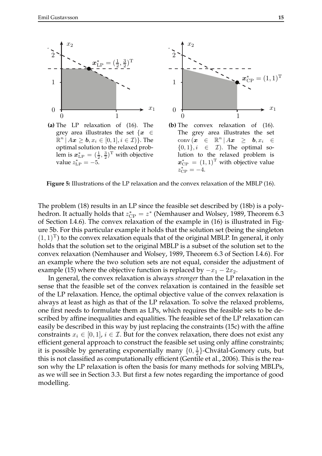

**(a)** The LP relaxation of (16). The grey area illustrates the set  $\{x \in$  $\mathbb{R}^n \mid A \boldsymbol{x} \geq \boldsymbol{b}, x_i \in [0,1], i \in \mathcal{I})\}.$  The optimal solution to the relaxed problem is  $x_{\text{LP}}^* = (\frac{1}{2}, \frac{3}{2})^{\text{T}}$  with objective value  $z_{\text{LP}}^* = -5$ .



**Figure 5:** Illustrations of the LP relaxation and the convex relaxation of the MBLP (16).

The problem (18) results in an LP since the feasible set described by (18b) is a polyhedron. It actually holds that  $z_{\rm CP}^*=z^*$  (Nemhauser and Wolsey, 1989, Theorem 6.3 of Section I.4.6). The convex relaxation of the example in (16) is illustrated in Figure 5b. For this particular example it holds that the solution set (being the singleton  $(1,1)^T$  to the convex relaxation equals that of the original MBLP. In general, it only holds that the solution set to the original MBLP is a subset of the solution set to the convex relaxation (Nemhauser and Wolsey, 1989, Theorem 6.3 of Section I.4.6). For an example where the two solution sets are not equal, consider the adjustment of example (15) where the objective function is replaced by  $-x_1 - 2x_2$ .

In general, the convex relaxation is always *stronger* than the LP relaxation in the sense that the feasible set of the convex relaxation is contained in the feasible set of the LP relaxation. Hence, the optimal objective value of the convex relaxation is always at least as high as that of the LP relaxation. To solve the relaxed problems, one first needs to formulate them as LPs, which requires the feasible sets to be described by affine inequalities and equalities. The feasible set of the LP relaxation can easily be described in this way by just replacing the constraints (15c) with the affine constraints  $x_i \in [0, 1]$ ,  $i \in \mathcal{I}$ . But for the convex relaxation, there does not exist any efficient general approach to construct the feasible set using only affine constraints; it is possible by generating exponentially many  $\{0, \frac{1}{2}\}$ -Chvátal-Gomory cuts, but this is not classified as computationally efficient (Gentile et al., 2006). This is the reason why the LP relaxation is often the basis for many methods for solving MBLPs, as we will see in Section 3.3. But first a few notes regarding the importance of good modelling.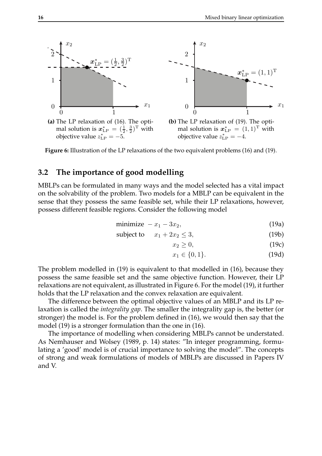

**Figure 6:** Illustration of the LP relaxations of the two equivalent problems (16) and (19).

### **3.2 The importance of good modelling**

MBLPs can be formulated in many ways and the model selected has a vital impact on the solvability of the problem. Two models for a MBLP can be equivalent in the sense that they possess the same feasible set, while their LP relaxations, however, possess different feasible regions. Consider the following model

$$
minimize -x_1 - 3x_2, \t\t(19a)
$$

$$
subject to \t x_1 + 2x_2 \le 3,
$$
\t(19b)

$$
x_2 \ge 0,\tag{19c}
$$

$$
x_1 \in \{0, 1\}.\tag{19d}
$$

The problem modelled in (19) is equivalent to that modelled in (16), because they possess the same feasible set and the same objective function. However, their LP relaxations are not equivalent, as illustrated in Figure 6. For the model (19), it further holds that the LP relaxation and the convex relaxation are equivalent.

The difference between the optimal objective values of an MBLP and its LP relaxation is called the *integrality gap*. The smaller the integrality gap is, the better (or stronger) the model is. For the problem defined in (16), we would then say that the model (19) is a stronger formulation than the one in (16).

The importance of modelling when considering MBLPs cannot be understated. As Nemhauser and Wolsey (1989, p. 14) states: "In integer programming, formulating a 'good' model is of crucial importance to solving the model". The concepts of strong and weak formulations of models of MBLPs are discussed in Papers IV and V.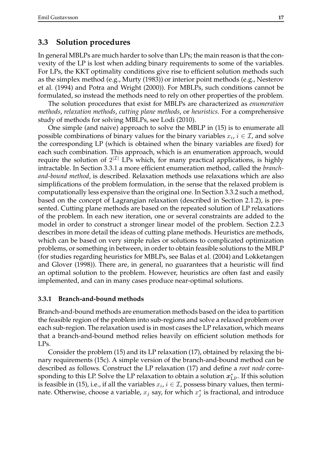### **3.3 Solution procedures**

In general MBLPs are much harder to solve than LPs; the main reason is that the convexity of the LP is lost when adding binary requirements to some of the variables. For LPs, the KKT optimality conditions give rise to efficient solution methods such as the simplex method (e.g., Murty (1983)) or interior point methods (e.g., Nesterov et al. (1994) and Potra and Wright (2000)). For MBLPs, such conditions cannot be formulated, so instead the methods need to rely on other properties of the problem.

The solution procedures that exist for MBLPs are characterized as *enumeration methods*, *relaxation methods*, *cutting plane methods*, or *heuristics*. For a comprehensive study of methods for solving MBLPs, see Lodi (2010).

One simple (and naive) approach to solve the MBLP in (15) is to enumerate all possible combinations of binary values for the binary variables  $x_i$ ,  $i \in \mathcal{I}$ , and solve the corresponding LP (which is obtained when the binary variables are fixed) for each such combination. This approach, which is an enumeration approach, would require the solution of  $2^{|{\mathcal I}|}$  LPs which, for many practical applications, is highly intractable. In Section 3.3.1 a more efficient enumeration method, called the *branchand-bound method*, is described. Relaxation methods use relaxations which are also simplifications of the problem formulation, in the sense that the relaxed problem is computationally less expensive than the original one. In Section 3.3.2 such a method, based on the concept of Lagrangian relaxation (described in Section 2.1.2), is presented. Cutting plane methods are based on the repeated solution of LP relaxations of the problem. In each new iteration, one or several constraints are added to the model in order to construct a stronger linear model of the problem. Section 2.2.3 describes in more detail the ideas of cutting plane methods. Heuristics are methods, which can be based on very simple rules or solutions to complicated optimization problems, or something in between, in order to obtain feasible solutions to the MBLP (for studies regarding heuristics for MBLPs, see Balas et al. (2004) and Lokketangen and Glover (1998)). There are, in general, no guarantees that a heuristic will find an optimal solution to the problem. However, heuristics are often fast and easily implemented, and can in many cases produce near-optimal solutions.

#### **3.3.1 Branch-and-bound methods**

Branch-and-bound methods are enumeration methods based on the idea to partition the feasible region of the problem into sub-regions and solve a relaxed problem over each sub-region. The relaxation used is in most cases the LP relaxation, which means that a branch-and-bound method relies heavily on efficient solution methods for LPs.

Consider the problem (15) and its LP relaxation (17), obtained by relaxing the binary requirements (15c). A simple version of the branch-and-bound method can be described as follows. Construct the LP relaxation (17) and define a *root node* corresponding to this LP. Solve the LP relaxation to obtain a solution  $x_{\text{LP}}^*$ . If this solution is feasible in (15), i.e., if all the variables  $x_i$ ,  $i \in \mathcal{I}$ , possess binary values, then terminate. Otherwise, choose a variable,  $x_j$  say, for which  $x_j^*$  is fractional, and introduce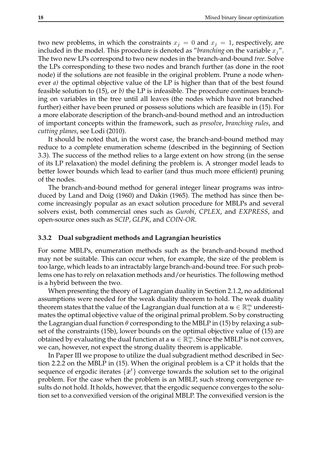two new problems, in which the constraints  $x_i = 0$  and  $x_j = 1$ , respectively, are included in the model. This procedure is denoted as "*branching* on the variable  $x_j$ ". The two new LPs correspond to two new nodes in the branch-and-bound *tree*. Solve the LPs corresponding to these two nodes and branch further (as done in the root node) if the solutions are not feasible in the original problem. Prune a node whenever *a)* the optimal objective value of the LP is higher than that of the best found feasible solution to (15), or *b)* the LP is infeasible. The procedure continues branching on variables in the tree until all leaves (the nodes which have not branched further) either have been pruned or possess solutions which are feasible in (15). For a more elaborate description of the branch-and-bound method and an introduction of important concepts within the framework, such as *presolve*, *branching rules*, and *cutting planes*, see Lodi (2010).

It should be noted that, in the worst case, the branch-and-bound method may reduce to a complete enumeration scheme (described in the beginning of Section 3.3). The success of the method relies to a large extent on how strong (in the sense of its LP relaxation) the model defining the problem is. A stronger model leads to better lower bounds which lead to earlier (and thus much more efficient) pruning of the nodes.

The branch-and-bound method for general integer linear programs was introduced by Land and Doig (1960) and Dakin (1965). The method has since then become increasingly popular as an exact solution procedure for MBLPs and several solvers exist, both commercial ones such as *Gurobi*, *CPLEX*, and *EXPRESS*, and open-source ones such as *SCIP*, *GLPK*, and *COIN-OR*.

#### **3.3.2 Dual subgradient methods and Lagrangian heuristics**

For some MBLPs, enumeration methods such as the branch-and-bound method may not be suitable. This can occur when, for example, the size of the problem is too large, which leads to an intractably large branch-and-bound tree. For such problems one has to rely on relaxation methods and/or heuristics. The following method is a hybrid between the two.

When presenting the theory of Lagrangian duality in Section 2.1.2, no additional assumptions were needed for the weak duality theorem to hold. The weak duality theorem states that the value of the Lagrangian dual function at a  $\boldsymbol{u}\in\mathbb{R}^m_+$  underestimates the optimal objective value of the original primal problem. So by constructing the Lagrangian dual function  $\theta$  corresponding to the MBLP in (15) by relaxing a subset of the constraints (15b), lower bounds on the optimal objective value of (15) are obtained by evaluating the dual function at a  $u\in\mathbb{R}^m_+$ . Since the MBLP is not convex, we can, however, not expect the strong duality theorem is applicable.

In Paper III we propose to utilize the dual subgradient method described in Section 2.2.2 on the MBLP in (15). When the original problem is a CP it holds that the sequence of ergodic iterates  $\{\bar{x}^t\}$  converge towards the solution set to the original problem. For the case when the problem is an MBLP, such strong convergence results do not hold. It holds, however, that the ergodic sequence converges to the solution set to a convexified version of the original MBLP. The convexified version is the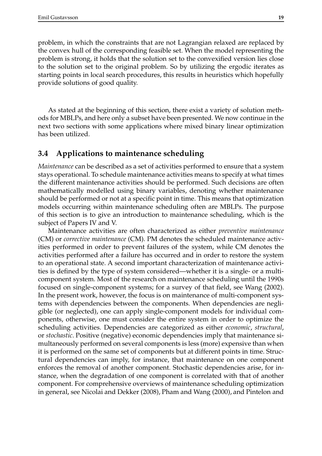problem, in which the constraints that are not Lagrangian relaxed are replaced by the convex hull of the corresponding feasible set. When the model representing the problem is strong, it holds that the solution set to the convexified version lies close to the solution set to the original problem. So by utilizing the ergodic iterates as starting points in local search procedures, this results in heuristics which hopefully provide solutions of good quality.

As stated at the beginning of this section, there exist a variety of solution methods for MBLPs, and here only a subset have been presented. We now continue in the next two sections with some applications where mixed binary linear optimization has been utilized.

### **3.4 Applications to maintenance scheduling**

*Maintenance* can be described as a set of activities performed to ensure that a system stays operational. To schedule maintenance activities means to specify at what times the different maintenance activities should be performed. Such decisions are often mathematically modelled using binary variables, denoting whether maintenance should be performed or not at a specific point in time. This means that optimization models occurring within maintenance scheduling often are MBLPs. The purpose of this section is to give an introduction to maintenance scheduling, which is the subject of Papers IV and V.

Maintenance activities are often characterized as either *preventive maintenance* (CM) or *corrective maintenance* (CM). PM denotes the scheduled maintenance activities performed in order to prevent failures of the system, while CM denotes the activities performed after a failure has occurred and in order to restore the system to an operational state. A second important characterization of maintenance activities is defined by the type of system considered—whether it is a single- or a multicomponent system. Most of the research on maintenance scheduling until the 1990s focused on single-component systems; for a survey of that field, see Wang (2002). In the present work, however, the focus is on maintenance of multi-component systems with dependencies between the components. When dependencies are negligible (or neglected), one can apply single-component models for individual components, otherwise, one must consider the entire system in order to optimize the scheduling activities. Dependencies are categorized as either *economic*, *structural*, or *stochastic*. Positive (negative) economic dependencies imply that maintenance simultaneously performed on several components is less (more) expensive than when it is performed on the same set of components but at different points in time. Structural dependencies can imply, for instance, that maintenance on one component enforces the removal of another component. Stochastic dependencies arise, for instance, when the degradation of one component is correlated with that of another component. For comprehensive overviews of maintenance scheduling optimization in general, see Nicolai and Dekker (2008), Pham and Wang (2000), and Pintelon and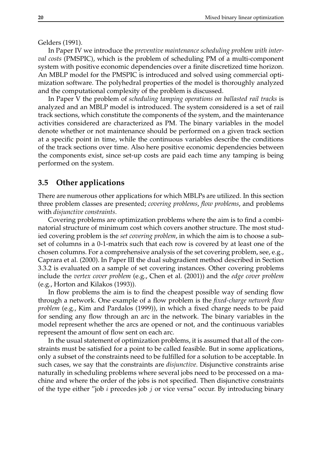#### Gelders (1991).

In Paper IV we introduce the *preventive maintenance scheduling problem with interval costs* (PMSPIC), which is the problem of scheduling PM of a multi-component system with positive economic dependencies over a finite discretized time horizon. An MBLP model for the PMSPIC is introduced and solved using commercial optimization software. The polyhedral properties of the model is thoroughly analyzed and the computational complexity of the problem is discussed.

In Paper V the problem of *scheduling tamping operations on ballasted rail tracks* is analyzed and an MBLP model is introduced. The system considered is a set of rail track sections, which constitute the components of the system, and the maintenance activities considered are characterized as PM. The binary variables in the model denote whether or not maintenance should be performed on a given track section at a specific point in time, while the continuous variables describe the conditions of the track sections over time. Also here positive economic dependencies between the components exist, since set-up costs are paid each time any tamping is being performed on the system.

### **3.5 Other applications**

There are numerous other applications for which MBLPs are utilized. In this section three problem classes are presented; *covering problems*, *flow problems*, and problems with *disjunctive constraints*.

Covering problems are optimization problems where the aim is to find a combinatorial structure of minimum cost which covers another structure. The most studied covering problem is the *set covering problem*, in which the aim is to choose a subset of columns in a 0-1-matrix such that each row is covered by at least one of the chosen columns. For a comprehensive analysis of the set covering problem, see, e.g., Caprara et al. (2000). In Paper III the dual subgradient method described in Section 3.3.2 is evaluated on a sample of set covering instances. Other covering problems include the *vertex cover problem* (e.g., Chen et al. (2001)) and the *edge cover problem* (e.g., Horton and Kilakos (1993)).

In flow problems the aim is to find the cheapest possible way of sending flow through a network. One example of a flow problem is the *fixed-charge network flow problem* (e.g., Kim and Pardalos (1999)), in which a fixed charge needs to be paid for sending any flow through an arc in the network. The binary variables in the model represent whether the arcs are opened or not, and the continuous variables represent the amount of flow sent on each arc.

In the usual statement of optimization problems, it is assumed that all of the constraints must be satisfied for a point to be called feasible. But in some applications, only a subset of the constraints need to be fulfilled for a solution to be acceptable. In such cases, we say that the constraints are *disjunctive*. Disjunctive constraints arise naturally in scheduling problems where several jobs need to be processed on a machine and where the order of the jobs is not specified. Then disjunctive constraints of the type either "job i precedes job j or vice versa" occur. By introducing binary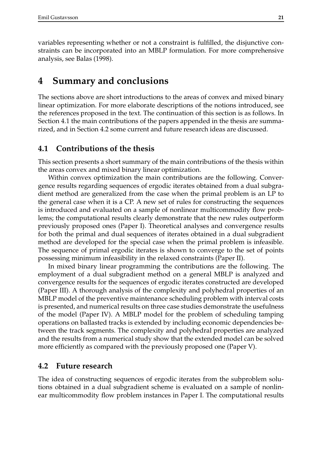variables representing whether or not a constraint is fulfilled, the disjunctive constraints can be incorporated into an MBLP formulation. For more comprehensive analysis, see Balas (1998).

### **4 Summary and conclusions**

The sections above are short introductions to the areas of convex and mixed binary linear optimization. For more elaborate descriptions of the notions introduced, see the references proposed in the text. The continuation of this section is as follows. In Section 4.1 the main contributions of the papers appended in the thesis are summarized, and in Section 4.2 some current and future research ideas are discussed.

### **4.1 Contributions of the thesis**

This section presents a short summary of the main contributions of the thesis within the areas convex and mixed binary linear optimization.

Within convex optimization the main contributions are the following. Convergence results regarding sequences of ergodic iterates obtained from a dual subgradient method are generalized from the case when the primal problem is an LP to the general case when it is a CP. A new set of rules for constructing the sequences is introduced and evaluated on a sample of nonlinear multicommodity flow problems; the computational results clearly demonstrate that the new rules outperform previously proposed ones (Paper I). Theoretical analyses and convergence results for both the primal and dual sequences of iterates obtained in a dual subgradient method are developed for the special case when the primal problem is infeasible. The sequence of primal ergodic iterates is shown to converge to the set of points possessing minimum infeasibility in the relaxed constraints (Paper II).

In mixed binary linear programming the contributions are the following. The employment of a dual subgradient method on a general MBLP is analyzed and convergence results for the sequences of ergodic iterates constructed are developed (Paper III). A thorough analysis of the complexity and polyhedral properties of an MBLP model of the preventive maintenance scheduling problem with interval costs is presented, and numerical results on three case studies demonstrate the usefulness of the model (Paper IV). A MBLP model for the problem of scheduling tamping operations on ballasted tracks is extended by including economic dependencies between the track segments. The complexity and polyhedral properties are analyzed and the results from a numerical study show that the extended model can be solved more efficiently as compared with the previously proposed one (Paper V).

### **4.2 Future research**

The idea of constructing sequences of ergodic iterates from the subproblem solutions obtained in a dual subgradient scheme is evaluated on a sample of nonlinear multicommodity flow problem instances in Paper I. The computational results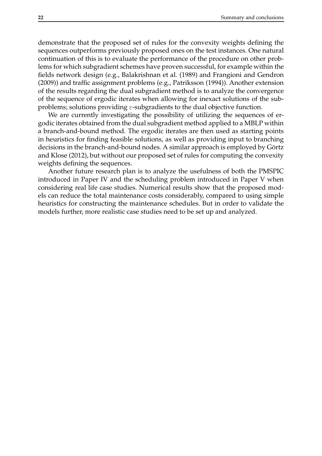demonstrate that the proposed set of rules for the convexity weights defining the sequences outperforms previously proposed ones on the test instances. One natural continuation of this is to evaluate the performance of the procedure on other problems for which subgradient schemes have proven successful, for example within the fields network design (e.g., Balakrishnan et al. (1989) and Frangioni and Gendron (2009)) and traffic assignment problems (e.g., Patriksson (1994)). Another extension of the results regarding the dual subgradient method is to analyze the convergence of the sequence of ergodic iterates when allowing for inexact solutions of the subproblems; solutions providing  $\varepsilon$ -subgradients to the dual objective function.

We are currently investigating the possibility of utilizing the sequences of ergodic iterates obtained from the dual subgradient method applied to a MBLP within a branch-and-bound method. The ergodic iterates are then used as starting points in heuristics for finding feasible solutions, as well as providing input to branching decisions in the branch-and-bound nodes. A similar approach is employed by Görtz and Klose (2012), but without our proposed set of rules for computing the convexity weights defining the sequences.

Another future research plan is to analyze the usefulness of both the PMSPIC introduced in Paper IV and the scheduling problem introduced in Paper V when considering real life case studies. Numerical results show that the proposed models can reduce the total maintenance costs considerably, compared to using simple heuristics for constructing the maintenance schedules. But in order to validate the models further, more realistic case studies need to be set up and analyzed.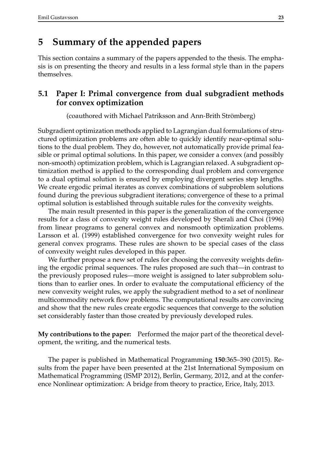### **5 Summary of the appended papers**

This section contains a summary of the papers appended to the thesis. The emphasis is on presenting the theory and results in a less formal style than in the papers themselves.

### **5.1 Paper I: Primal convergence from dual subgradient methods for convex optimization**

(coauthored with Michael Patriksson and Ann-Brith Strömberg)

Subgradient optimization methods applied to Lagrangian dual formulations of structured optimization problems are often able to quickly identify near-optimal solutions to the dual problem. They do, however, not automatically provide primal feasible or primal optimal solutions. In this paper, we consider a convex (and possibly non-smooth) optimization problem, which is Lagrangian relaxed. A subgradient optimization method is applied to the corresponding dual problem and convergence to a dual optimal solution is ensured by employing divergent series step lengths. We create ergodic primal iterates as convex combinations of subproblem solutions found during the previous subgradient iterations; convergence of these to a primal optimal solution is established through suitable rules for the convexity weights.

The main result presented in this paper is the generalization of the convergence results for a class of convexity weight rules developed by Sherali and Choi (1996) from linear programs to general convex and nonsmooth optimization problems. Larsson et al. (1999) established convergence for two convexity weight rules for general convex programs. These rules are shown to be special cases of the class of convexity weight rules developed in this paper.

We further propose a new set of rules for choosing the convexity weights defining the ergodic primal sequences. The rules proposed are such that—in contrast to the previously proposed rules—more weight is assigned to later subproblem solutions than to earlier ones. In order to evaluate the computational efficiency of the new convexity weight rules, we apply the subgradient method to a set of nonlinear multicommodity network flow problems. The computational results are convincing and show that the new rules create ergodic sequences that converge to the solution set considerably faster than those created by previously developed rules.

**My contributions to the paper:** Performed the major part of the theoretical development, the writing, and the numerical tests.

The paper is published in Mathematical Programming **150**:365–390 (2015). Results from the paper have been presented at the 21st International Symposium on Mathematical Programming (ISMP 2012), Berlin, Germany, 2012, and at the conference Nonlinear optimization: A bridge from theory to practice, Erice, Italy, 2013.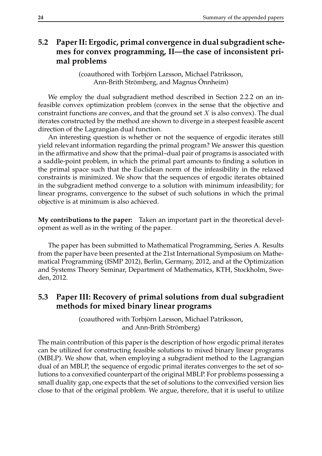### **5.2 Paper II: Ergodic, primal convergence in dual subgradient schemes for convex programming, II—the case of inconsistent primal problems**

(coauthored with Torbjörn Larsson, Michael Patriksson, Ann-Brith Strömberg, and Magnus Önnheim)

We employ the dual subgradient method described in Section 2.2.2 on an infeasible convex optimization problem (convex in the sense that the objective and constraint functions are convex, and that the ground set  $X$  is also convex). The dual iterates constructed by the method are shown to diverge in a steepest feasible ascent direction of the Lagrangian dual function.

An interesting question is whether or not the sequence of ergodic iterates still yield relevant information regarding the primal program? We answer this question in the affirmative and show that the primal–dual pair of programs is associated with a saddle-point problem, in which the primal part amounts to finding a solution in the primal space such that the Euclidean norm of the infeasibility in the relaxed constraints is minimized. We show that the sequences of ergodic iterates obtained in the subgradient method converge to a solution with minimum infeasibility; for linear programs, convergence to the subset of such solutions in which the primal objective is at minimum is also achieved.

**My contributions to the paper:** Taken an important part in the theoretical development as well as in the writing of the paper.

The paper has been submitted to Mathematical Programming, Series A. Results from the paper have been presented at the 21st International Symposium on Mathematical Programming (ISMP 2012), Berlin, Germany, 2012, and at the Optimization and Systems Theory Seminar, Department of Mathematics, KTH, Stockholm, Sweden, 2012.

### **5.3 Paper III: Recovery of primal solutions from dual subgradient methods for mixed binary linear programs**

(coauthored with Torbjörn Larsson, Michael Patriksson, and Ann-Brith Strömberg)

The main contribution of this paper is the description of how ergodic primal iterates can be utilized for constructing feasible solutions to mixed binary linear programs (MBLP). We show that, when employing a subgradient method to the Lagrangian dual of an MBLP, the sequence of ergodic primal iterates converges to the set of solutions to a convexified counterpart of the original MBLP. For problems possessing a small duality gap, one expects that the set of solutions to the convexified version lies close to that of the original problem. We argue, therefore, that it is useful to utilize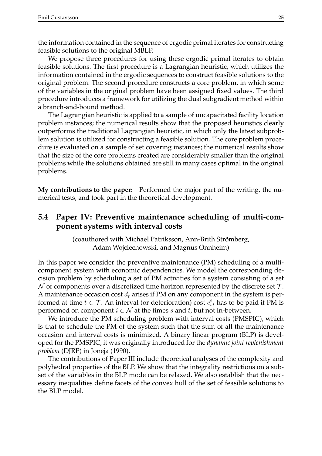the information contained in the sequence of ergodic primal iterates for constructing feasible solutions to the original MBLP.

We propose three procedures for using these ergodic primal iterates to obtain feasible solutions. The first procedure is a Lagrangian heuristic, which utilizes the information contained in the ergodic sequences to construct feasible solutions to the original problem. The second procedure constructs a core problem, in which some of the variables in the original problem have been assigned fixed values. The third procedure introduces a framework for utilizing the dual subgradient method within a branch-and-bound method.

The Lagrangian heuristic is applied to a sample of uncapacitated facility location problem instances; the numerical results show that the proposed heuristics clearly outperforms the traditional Lagrangian heuristic, in which only the latest subproblem solution is utilized for constructing a feasible solution. The core problem procedure is evaluated on a sample of set covering instances; the numerical results show that the size of the core problems created are considerably smaller than the original problems while the solutions obtained are still in many cases optimal in the original problems.

**My contributions to the paper:** Performed the major part of the writing, the numerical tests, and took part in the theoretical development.

### **5.4 Paper IV: Preventive maintenance scheduling of multi-component systems with interval costs**

(coauthored with Michael Patriksson, Ann-Brith Strömberg, Adam Wojciechowski, and Magnus Önnheim)

In this paper we consider the preventive maintenance (PM) scheduling of a multicomponent system with economic dependencies. We model the corresponding decision problem by scheduling a set of PM activities for a system consisting of a set  $\mathcal N$  of components over a discretized time horizon represented by the discrete set  $\mathcal T$ . A maintenance occasion cost  $d_t$  arises if PM on any component in the system is performed at time  $t \in \mathcal{T}$ . An interval (or deterioration) cost  $c_{st}^i$  has to be paid if PM is performed on component  $i \in \mathcal{N}$  at the times s and t, but not in-between.

We introduce the PM scheduling problem with interval costs (PMSPIC), which is that to schedule the PM of the system such that the sum of all the maintenance occasion and interval costs is minimized. A binary linear program (BLP) is developed for the PMSPIC; it was originally introduced for the *dynamic joint replenishment problem* (DJRP) in Joneja (1990).

The contributions of Paper III include theoretical analyses of the complexity and polyhedral properties of the BLP. We show that the integrality restrictions on a subset of the variables in the BLP mode can be relaxed. We also establish that the necessary inequalities define facets of the convex hull of the set of feasible solutions to the BLP model.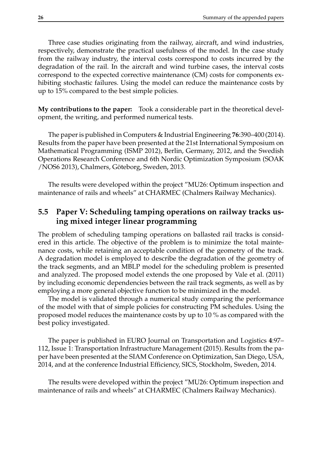Three case studies originating from the railway, aircraft, and wind industries, respectively, demonstrate the practical usefulness of the model. In the case study from the railway industry, the interval costs correspond to costs incurred by the degradation of the rail. In the aircraft and wind turbine cases, the interval costs correspond to the expected corrective maintenance (CM) costs for components exhibiting stochastic failures. Using the model can reduce the maintenance costs by up to 15% compared to the best simple policies.

**My contributions to the paper:** Took a considerable part in the theoretical development, the writing, and performed numerical tests.

The paper is published in Computers & Industrial Engineering **76**:390–400 (2014). Results from the paper have been presented at the 21st International Symposium on Mathematical Programming (ISMP 2012), Berlin, Germany, 2012, and the Swedish Operations Research Conference and 6th Nordic Optimization Symposium (SOAK /NOS6 2013), Chalmers, Göteborg, Sweden, 2013.

The results were developed within the project "MU26: Optimum inspection and maintenance of rails and wheels" at CHARMEC (Chalmers Railway Mechanics).

### **5.5 Paper V: Scheduling tamping operations on railway tracks using mixed integer linear programming**

The problem of scheduling tamping operations on ballasted rail tracks is considered in this article. The objective of the problem is to minimize the total maintenance costs, while retaining an acceptable condition of the geometry of the track. A degradation model is employed to describe the degradation of the geometry of the track segments, and an MBLP model for the scheduling problem is presented and analyzed. The proposed model extends the one proposed by Vale et al. (2011) by including economic dependencies between the rail track segments, as well as by employing a more general objective function to be minimized in the model.

The model is validated through a numerical study comparing the performance of the model with that of simple policies for constructing PM schedules. Using the proposed model reduces the maintenance costs by up to 10 % as compared with the best policy investigated.

The paper is published in EURO Journal on Transportation and Logistics **4**:97– 112, Issue 1: Transportation Infrastructure Management (2015). Results from the paper have been presented at the SIAM Conference on Optimization, San Diego, USA, 2014, and at the conference Industrial Efficiency, SICS, Stockholm, Sweden, 2014.

The results were developed within the project "MU26: Optimum inspection and maintenance of rails and wheels" at CHARMEC (Chalmers Railway Mechanics).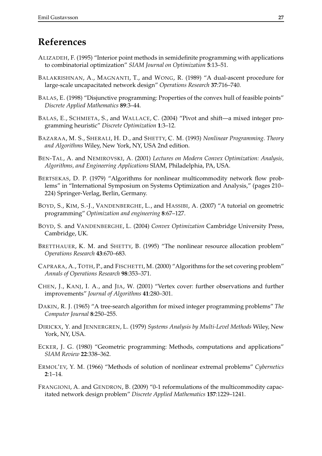## **References**

- ALIZADEH, F. (1995) "Interior point methods in semidefinite programming with applications to combinatorial optimization" *SIAM Journal on Optimization* **5**:13–51.
- BALAKRISHNAN, A., MAGNANTI, T., and WONG, R. (1989) "A dual-ascent procedure for large-scale uncapacitated network design" *Operations Research* **37**:716–740.
- BALAS, E. (1998) "Disjunctive programming: Properties of the convex hull of feasible points" *Discrete Applied Mathematics* **89**:3–44.
- BALAS, E., SCHMIETA, S., and WALLACE, C. (2004) "Pivot and shift—a mixed integer programming heuristic" *Discrete Optimization* **1**:3–12.
- BAZARAA, M. S., SHERALI, H. D., and SHETTY, C. M. (1993) *Nonlinear Programming. Theory and Algorithms* Wiley, New York, NY, USA 2nd edition.
- BEN-TAL, A. and NEMIROVSKI, A. (2001) *Lectures on Modern Convex Optimization: Analysis, Algorithms, and Engineering Applications* SIAM, Philadelphia, PA, USA.
- BERTSEKAS, D. P. (1979) "Algorithms for nonlinear multicommodity network flow problems" in "International Symposium on Systems Optimization and Analysis," (pages 210– 224) Springer-Verlag, Berlin, Germany.
- BOYD, S., KIM, S.-J., VANDENBERGHE, L., and HASSIBI, A. (2007) "A tutorial on geometric programming" *Optimization and engineering* **8**:67–127.
- BOYD, S. and VANDENBERGHE, L. (2004) *Convex Optimization* Cambridge University Press, Cambridge, UK.
- BRETTHAUER, K. M. and SHETTY, B. (1995) "The nonlinear resource allocation problem" *Operations Research* **43**:670–683.
- CAPRARA, A., TOTH, P., and FISCHETTI, M. (2000) "Algorithms for the set covering problem" *Annals of Operations Research* **98**:353–371.
- CHEN, J., KANJ, I. A., and JIA, W. (2001) "Vertex cover: further observations and further improvements" *Journal of Algorithms* **41**:280–301.
- DAKIN, R. J. (1965) "A tree-search algorithm for mixed integer programming problems" *The Computer Journal* **8**:250–255.
- DIRICKX, Y. and JENNERGREN, L. (1979) *Systems Analysis by Multi-Level Methods* Wiley, New York, NY, USA.
- ECKER, J. G. (1980) "Geometric programming: Methods, computations and applications" *SIAM Review* **22**:338–362.
- ERMOL'EV, Y. M. (1966) "Methods of solution of nonlinear extremal problems" *Cybernetics* **2**:1–14.
- FRANGIONI, A. and GENDRON, B. (2009) "0-1 reformulations of the multicommodity capacitated network design problem" *Discrete Applied Mathematics* **157**:1229–1241.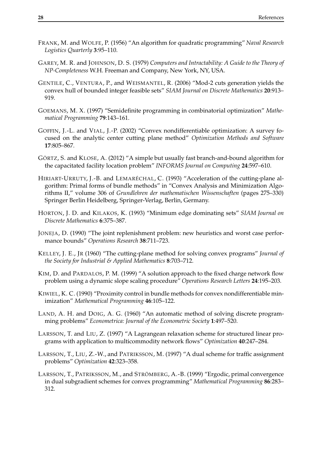- FRANK, M. and WOLFE, P. (1956) "An algorithm for quadratic programming" *Naval Research Logistics Quarterly* **3**:95–110.
- GAREY, M. R. and JOHNSON, D. S. (1979) *Computers and Intractability: A Guide to the Theory of NP-Completeness* W.H. Freeman and Company, New York, NY, USA.
- GENTILE, C., VENTURA, P., and WEISMANTEL, R. (2006) "Mod-2 cuts generation yields the convex hull of bounded integer feasible sets" *SIAM Journal on Discrete Mathematics* **20**:913– 919.
- GOEMANS, M. X. (1997) "Semidefinite programming in combinatorial optimization" *Mathematical Programming* **79**:143–161.
- GOFFIN, J.-L. and VIAL, J.-P. (2002) "Convex nondifferentiable optimization: A survey focused on the analytic center cutting plane method" *Optimization Methods and Software* **17**:805–867.
- GÖRTZ, S. and KLOSE, A. (2012) "A simple but usually fast branch-and-bound algorithm for the capacitated facility location problem" *INFORMS Journal on Computing* **24**:597–610.
- HIRIART-URRUTY, J.-B. and LEMARÉCHAL, C. (1993) "Acceleration of the cutting-plane algorithm: Primal forms of bundle methods" in "Convex Analysis and Minimization Algorithms II," volume 306 of *Grundlehren der mathematischen Wissenschaften* (pages 275–330) Springer Berlin Heidelberg, Springer-Verlag, Berlin, Germany.
- HORTON, J. D. and KILAKOS, K. (1993) "Minimum edge dominating sets" *SIAM Journal on Discrete Mathematics* **6**:375–387.
- JONEJA, D. (1990) "The joint replenishment problem: new heuristics and worst case performance bounds" *Operations Research* **38**:711–723.
- KELLEY, J. E., JR (1960) "The cutting-plane method for solving convex programs" *Journal of the Society for Industrial & Applied Mathematics* **8**:703–712.
- KIM, D. and PARDALOS, P. M. (1999) "A solution approach to the fixed charge network flow problem using a dynamic slope scaling procedure" *Operations Research Letters* **24**:195–203.
- KIWIEL, K. C. (1990) "Proximity control in bundle methods for convex nondifferentiable minimization" *Mathematical Programming* **46**:105–122.
- LAND, A. H. and DOIG, A. G. (1960) "An automatic method of solving discrete programming problems" *Econometrica: Journal of the Econometric Society* **1**:497–520.
- LARSSON, T. and LIU, Z. (1997) "A Lagrangean relaxation scheme for structured linear programs with application to multicommodity network flows" *Optimization* **40**:247–284.
- LARSSON, T., LIU, Z.-W., and PATRIKSSON, M. (1997) "A dual scheme for traffic assignment problems" *Optimization* **42**:323–358.
- LARSSON, T., PATRIKSSON, M., and STRÖMBERG, A.-B. (1999) "Ergodic, primal convergence in dual subgradient schemes for convex programming" *Mathematical Programming* **86**:283– 312.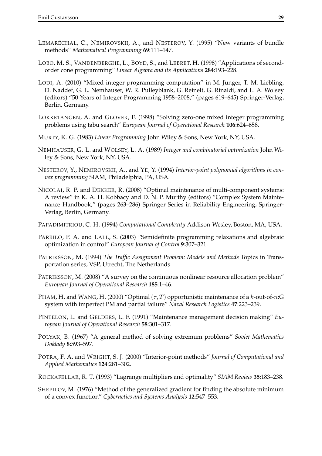- LEMARÉCHAL, C., NEMIROVSKII, A., and NESTEROV, Y. (1995) "New variants of bundle methods" *Mathematical Programming* **69**:111–147.
- LOBO, M. S., VANDENBERGHE, L., BOYD, S., and LEBRET, H. (1998) "Applications of secondorder cone programming" *Linear Algebra and its Applications* **284**:193–228.
- LODI, A. (2010) "Mixed integer programming computation" in M. Jünger, T. M. Liebling, D. Naddef, G. L. Nemhauser, W. R. Pulleyblank, G. Reinelt, G. Rinaldi, and L. A. Wolsey (editors) "50 Years of Integer Programming 1958–2008," (pages 619–645) Springer-Verlag, Berlin, Germany.
- LOKKETANGEN, A. and GLOVER, F. (1998) "Solving zero-one mixed integer programming problems using tabu search" *European Journal of Operational Research* **106**:624–658.
- MURTY, K. G. (1983) *Linear Programming* John Wiley & Sons, New York, NY, USA.
- NEMHAUSER, G. L. and WOLSEY, L. A. (1989) *Integer and combinatorial optimization* John Wiley & Sons, New York, NY, USA.
- NESTEROV, Y., NEMIROVSKII, A., and YE, Y. (1994) *Interior-point polynomial algorithms in convex programming* SIAM, Philadelphia, PA, USA.
- NICOLAI, R. P. and DEKKER, R. (2008) "Optimal maintenance of multi-component systems: A review" in K. A. H. Kobbacy and D. N. P. Murthy (editors) "Complex System Maintenance Handbook," (pages 263–286) Springer Series in Reliability Engineering, Springer-Verlag, Berlin, Germany.
- PAPADIMITRIOU, C. H. (1994) *Computational Complexity* Addison-Wesley, Boston, MA, USA.
- PARRILO, P. A. and LALL, S. (2003) "Semidefinite programming relaxations and algebraic optimization in control" *European Journal of Control* **9**:307–321.
- PATRIKSSON, M. (1994) *The Traffic Assignment Problem: Models and Methods* Topics in Transportation series, VSP, Utrecht, The Netherlands.
- PATRIKSSON, M. (2008) "A survey on the continuous nonlinear resource allocation problem" *European Journal of Operational Research* **185**:1–46.
- PHAM, H. and WANG, H. (2000) "Optimal  $(\tau, T)$  opportunistic maintenance of a k-out-of-n:G system with imperfect PM and partial failure" *Naval Research Logistics* **47**:223–239.
- PINTELON, L. and GELDERS, L. F. (1991) "Maintenance management decision making" *European Journal of Operational Research* **58**:301–317.
- POLYAK, B. (1967) "A general method of solving extremum problems" *Soviet Mathematics Doklady* **8**:593–597.
- POTRA, F. A. and WRIGHT, S. J. (2000) "Interior-point methods" *Journal of Computational and Applied Mathematics* **124**:281–302.
- ROCKAFELLAR, R. T. (1993) "Lagrange multipliers and optimality" *SIAM Review* **35**:183–238.
- SHEPILOV, M. (1976) "Method of the generalized gradient for finding the absolute minimum of a convex function" *Cybernetics and Systems Analysis* **12**:547–553.